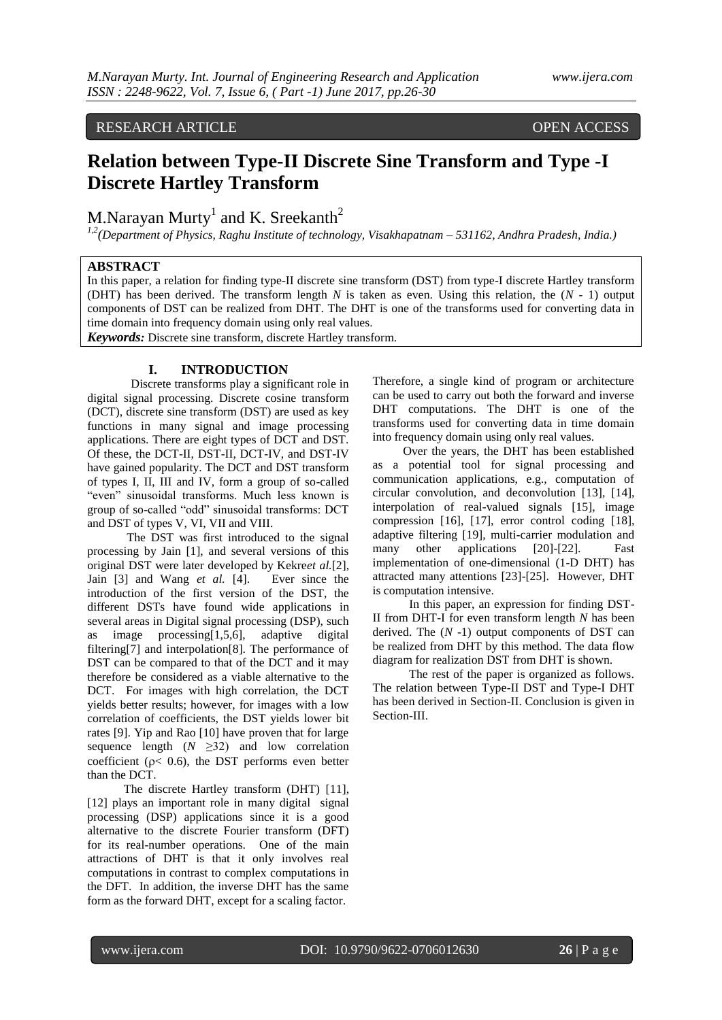## RESEARCH ARTICLE OPEN ACCESS

# **Relation between Type-II Discrete Sine Transform and Type -I Discrete Hartley Transform**

M.Narayan Murty<sup>1</sup> and K. Sreekanth<sup>2</sup>

*1,2(Department of Physics, Raghu Institute of technology, Visakhapatnam – 531162, Andhra Pradesh, India.)*

## **ABSTRACT**

In this paper, a relation for finding type-II discrete sine transform (DST) from type-I discrete Hartley transform (DHT) has been derived. The transform length *N* is taken as even. Using this relation, the (*N* - 1) output components of DST can be realized from DHT. The DHT is one of the transforms used for converting data in time domain into frequency domain using only real values.

*Keywords:* Discrete sine transform, discrete Hartley transform.

### **I. INTRODUCTION**

Discrete transforms play a significant role in digital signal processing. Discrete cosine transform (DCT), discrete sine transform (DST) are used as key functions in many signal and image processing applications. There are eight types of DCT and DST. Of these, the DCT-II, DST-II, DCT-IV, and DST-IV have gained popularity. The DCT and DST transform of types I, II, III and IV, form a group of so-called "even" sinusoidal transforms. Much less known is group of so-called "odd" sinusoidal transforms: DCT and DST of types V, VI, VII and VIII.

 The DST was first introduced to the signal processing by Jain [1], and several versions of this original DST were later developed by Kekre*et al.*[2], Jain [3] and Wang *et al.* [4]. Ever since the introduction of the first version of the DST, the different DSTs have found wide applications in several areas in Digital signal processing (DSP), such as image processing[1,5,6], adaptive digital filtering[7] and interpolation[8]. The performance of DST can be compared to that of the DCT and it may therefore be considered as a viable alternative to the DCT. For images with high correlation, the DCT yields better results; however, for images with a low correlation of coefficients, the DST yields lower bit rates [9]. Yip and Rao [10] have proven that for large sequence length  $(N \geq 32)$  and low correlation coefficient ( $p < 0.6$ ), the DST performs even better than the DCT.

 The discrete Hartley transform (DHT) [11], [12] plays an important role in many digital signal processing (DSP) applications since it is a good alternative to the discrete Fourier transform (DFT) for its real-number operations. One of the main attractions of DHT is that it only involves real computations in contrast to complex computations in the DFT. In addition, the inverse DHT has the same form as the forward DHT, except for a scaling factor.

Therefore, a single kind of program or architecture can be used to carry out both the forward and inverse DHT computations. The DHT is one of the transforms used for converting data in time domain into frequency domain using only real values.

 Over the years, the DHT has been established as a potential tool for signal processing and communication applications, e.g., computation of circular convolution, and deconvolution [13], [14], interpolation of real-valued signals [15], image compression [16], [17], error control coding [18], adaptive filtering [19], multi-carrier modulation and many other applications [20]-[22]. Fast implementation of one-dimensional (1-D DHT) has attracted many attentions [23]-[25]. However, DHT is computation intensive.

 In this paper, an expression for finding DST-II from DHT-I for even transform length *N* has been derived. The  $(N - 1)$  output components of DST can be realized from DHT by this method. The data flow diagram for realization DST from DHT is shown.

 The rest of the paper is organized as follows. The relation between Type-II DST and Type-I DHT has been derived in Section-II. Conclusion is given in Section-III.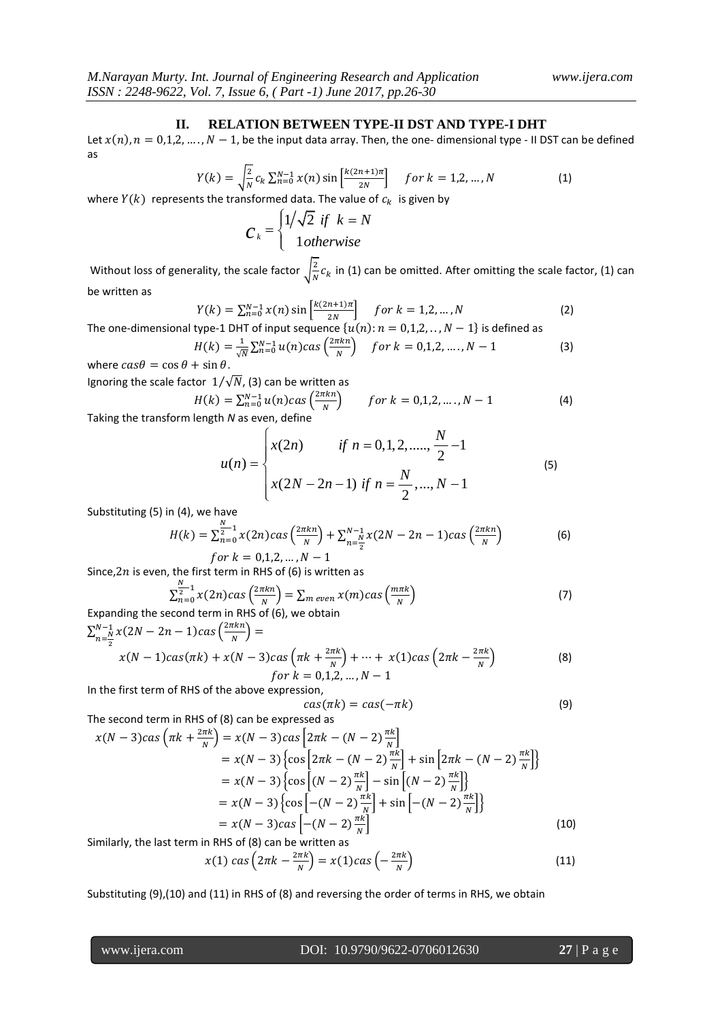#### **II. RELATION BETWEEN TYPE-II DST AND TYPE-I DHT**

Let  $x(n)$ ,  $n = 0,1,2,..., N - 1$ , be the input data array. Then, the one- dimensional type - II DST can be defined as

$$
Y(k) = \sqrt{\frac{2}{N}} c_k \sum_{n=0}^{N-1} x(n) \sin \left[ \frac{k(2n+1)\pi}{2N} \right] \quad \text{for } k = 1, 2, ..., N \tag{1}
$$

where  $Y(k)$  represents the transformed data. The value of  $c_k$  is given by  $\epsilon$   $\epsilon$ 

$$
C_k = \begin{cases} 1/\sqrt{2} & \text{if } k = N \\ 1 & \text{otherwise} \end{cases}
$$

Without loss of generality, the scale factor  $\frac{2}{N}$  $\frac{2}{N}c_k$  in (1) can be omitted. After omitting the scale factor, (1) can be written as

$$
Y(k) = \sum_{n=0}^{N-1} x(n) \sin \left[ \frac{k(2n+1)\pi}{2N} \right] \quad \text{for } k = 1, 2, ..., N \tag{2}
$$

The one-dimensional type-1 DHT of input sequence  $\{u(n): n = 0,1,2,..., N-1\}$  is defined as

$$
H(k) = \frac{1}{\sqrt{N}} \sum_{n=0}^{N-1} u(n) \cos\left(\frac{2\pi k n}{N}\right) \quad \text{for } k = 0, 1, 2, \dots, N-1 \tag{3}
$$

where  $cas\theta = cos \theta + sin \theta$ . Ignoring the scale factor  $1/\sqrt{N}$ , (3) can be written as

$$
H(k) = \sum_{n=0}^{N-1} u(n) \cos\left(\frac{2\pi k n}{N}\right) \qquad \text{for } k = 0, 1, 2, \dots, N-1 \tag{4}
$$

Taking the transform length *N* as even, define  
\n
$$
u(n) = \begin{cases}\nx(2n) & \text{if } n = 0, 1, 2, \dots, \frac{N}{2} - 1 \\
x(2N - 2n - 1) & \text{if } n = \frac{N}{2}, \dots, N - 1\n\end{cases}
$$
\n(5)

Substituting (5) in (4), we have

$$
H(k) = \sum_{n=0}^{\frac{N}{2}-1} x(2n) \cos\left(\frac{2\pi k n}{N}\right) + \sum_{n=\frac{N}{2}}^{N-1} x(2N - 2n - 1) \cos\left(\frac{2\pi k n}{N}\right)
$$
  
for  $k = 0, 1, 2, ..., N - 1$  (6)

Since,  $2n$  is even, the first term in RHS of (6) is written as N

$$
\sum_{n=0}^{\infty} x(2n) \cos\left(\frac{2\pi kn}{N}\right) = \sum_{m \text{ even}} x(m) \cos\left(\frac{m\pi k}{N}\right)
$$
\n(7)

\ncond term in RHS of (6), we obtain

Expanding the second term in RHS of (6), we obtain  $\sum_{N}^{N-1} x(2N - 2n - 1)$ cas  $\left(\frac{2}{n}\right)$  $\frac{N-1}{n} \frac{N}{2N} \left(2N - 2n - 1\right) \frac{2\pi k n}{N}$  $\int_{n=\frac{N}{2}}^{N-1} x(2N-2n-1)cas\left(\frac{2n\pi}{N}\right) =$ 

$$
x(N-1)cas(\pi k) + x(N-3)cas\left(\pi k + \frac{2\pi k}{N}\right) + \dots + x(1)cas\left(2\pi k - \frac{2\pi k}{N}\right)
$$
\n(8)  
\nfor k = 0,1,2, ..., N-1

In the first term of RHS of the above expression,

$$
cas(\pi k) = cas(-\pi k) \tag{9}
$$

The second term in RHS of (8) can be expressed as

$$
x(N-3)cas\left(\pi k + \frac{2\pi k}{N}\right) = x(N-3)cas\left[2\pi k - (N-2)\frac{\pi k}{N}\right]
$$
  
=  $x(N-3)\left\{\cos\left[2\pi k - (N-2)\frac{\pi k}{N}\right] + \sin\left[2\pi k - (N-2)\frac{\pi k}{N}\right]\right\}$   
=  $x(N-3)\left\{\cos\left[(N-2)\frac{\pi k}{N}\right] - \sin\left[(N-2)\frac{\pi k}{N}\right]\right\}$   
=  $x(N-3)\left\{\cos\left[-(N-2)\frac{\pi k}{N}\right] + \sin\left[-(N-2)\frac{\pi k}{N}\right]\right\}$   
=  $x(N-3)cas\left[-(N-2)\frac{\pi k}{N}\right]$  (10)

Similarly, the last term in RHS of (8) can be written as

$$
x(1) \, \text{cas} \left( 2\pi k - \frac{2\pi k}{N} \right) = x(1) \, \text{cas} \left( -\frac{2\pi k}{N} \right) \tag{11}
$$

Substituting (9),(10) and (11) in RHS of (8) and reversing the order of terms in RHS, we obtain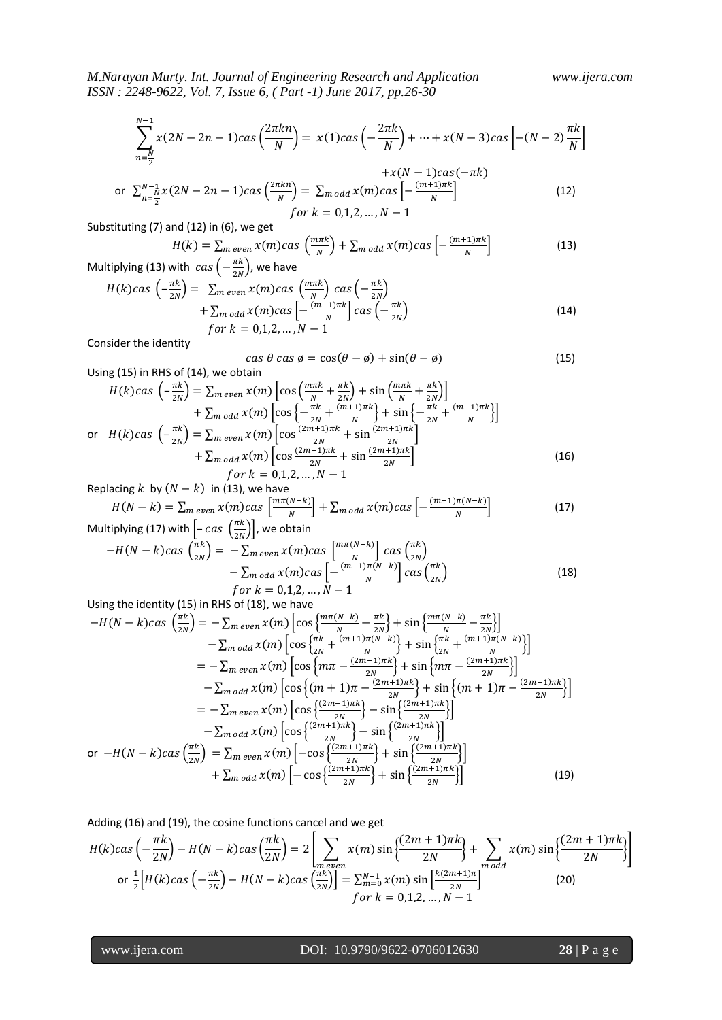$$
\sum_{n=\frac{N}{2}}^{N-1} x(2N-2n-1) \cos\left(\frac{2\pi kn}{N}\right) = x(1) \cos\left(-\frac{2\pi k}{N}\right) + \dots + x(N-3) \cos\left[-(N-2)\frac{\pi k}{N}\right] + x(N-1) \cos(-\pi k)
$$

or 
$$
\sum_{n=\frac{N}{2}}^{N-1} x(2N-2n-1)cas\left(\frac{2\pi kn}{N}\right) = \sum_{m \text{ odd}} x(m)cas\left[-\frac{(m+1)\pi k}{N}\right]
$$
 (12)  
for  $k = 0,1,2,...,N-1$ 

Substituting (7) and (12) in (6), we get

$$
H(k) = \sum_{m \text{ even}} x(m) \cos\left(\frac{m\pi k}{N}\right) + \sum_{m \text{ odd}} x(m) \cos\left[-\frac{(m+1)\pi k}{N}\right]
$$
(13)

Multiplying (13) with  $cas(-\frac{\pi}{2})$  $\frac{n\kappa}{2N}$ ), we have

$$
H(k)cas\left(-\frac{\pi k}{2N}\right) = \sum_{m \text{ even}} x(m)cas\left(\frac{m\pi k}{N}\right) cas\left(-\frac{\pi k}{2N}\right) + \sum_{m \text{ odd}} x(m)cas\left[-\frac{(m+1)\pi k}{N}\right] cas\left(-\frac{\pi k}{2N}\right)
$$
\n
$$
for\ k = 0,1,2,...,N-1
$$
\n(14)

Consider the identity

$$
\cos \theta \cos \phi = \cos(\theta - \phi) + \sin(\theta - \phi) \tag{15}
$$

Using (15) in RHS of (14), we obtain

$$
H(k)cas \left(-\frac{\pi k}{2N}\right) = \sum_{m \text{ even}} x(m) \left[ cos \left(\frac{m\pi k}{N} + \frac{\pi k}{2N}\right) + sin \left(\frac{m\pi k}{N} + \frac{\pi k}{2N}\right) \right] + \sum_{m \text{ odd}} x(m) \left[ cos \left\{-\frac{\pi k}{2N} + \frac{(m+1)\pi k}{N}\right\} + sin \left\{-\frac{\pi k}{2N} + \frac{(m+1)\pi k}{N}\right\} \right] or \quad H(k)cas \left(-\frac{\pi k}{2N}\right) = \sum_{m \text{ even}} x(m) \left[ cos \frac{(2m+1)\pi k}{2N} + sin \frac{(2m+1)\pi k}{2N} \right] + \sum_{m \text{ odd}} x(m) \left[ cos \frac{(2m+1)\pi k}{2N} + sin \frac{(2m+1)\pi k}{2N} \right] for \quad k = 0,1,2,..., N-1
$$
 (16)

Replacing k by  $(N-k)$  in (13), we have

Multiplying (17) with 
$$
\left[-\frac{m\pi(N-k)}{N}\right] + \sum_{m \text{ odd}} x(m) \cos\left[-\frac{(m+1)\pi(N-k)}{N}\right]
$$
 (17)  
\nMultiplying (17) with  $\left[-\cos\left(\frac{\pi k}{N}\right)\right]$ , we obtain

tiplying (17) with 
$$
\left[-\cos\left(\frac{n\kappa}{2N}\right)\right]
$$
, we obtain  
\n
$$
-H(N-k)\cos\left(\frac{\pi k}{2N}\right) = -\sum_{m \text{ even}} x(m)\cos\left[\frac{m\pi(N-k)}{N}\right] \cos\left(\frac{\pi k}{2N}\right)
$$
\n
$$
-\sum_{m \text{ odd}} x(m)\cos\left[-\frac{(m+1)\pi(N-k)}{N}\right] \cos\left(\frac{\pi k}{2N}\right)
$$
\nfor  $k = 0,1,2,...,N-1$  (18)

Using the identity (15) in RHS of (18), we have

$$
-H(N-k)cas\left(\frac{\pi k}{2N}\right) = -\sum_{m \text{ even}} x(m) \left[ \cos\left\{\frac{m\pi(N-k)}{N} - \frac{\pi k}{2N}\right\} + \sin\left\{\frac{m\pi(N-k)}{N} - \frac{\pi k}{2N}\right\} \right] - \sum_{m \text{ odd}} x(m) \left[ \cos\left\{\frac{\pi k}{2N} + \frac{(m+1)\pi(N-k)}{N}\right\} + \sin\left\{\frac{\pi k}{2N} + \frac{(m+1)\pi(N-k)}{N}\right\} \right] = -\sum_{m \text{ even}} x(m) \left[ \cos\left\{m\pi - \frac{(2m+1)\pi k}{2N}\right\} + \sin\left\{m\pi - \frac{(2m+1)\pi k}{2N}\right\} \right] - \sum_{m \text{ odd}} x(m) \left[ \cos\left\{\frac{(m+1)\pi - \frac{(2m+1)\pi k}{2N}}{2N}\right\} + \sin\left\{\frac{(m+1)\pi - \frac{(2m+1)\pi k}{2N}}{2N}\right\} \right] = -\sum_{m \text{ even}} x(m) \left[ \cos\left\{\frac{(2m+1)\pi k}{2N}\right\} - \sin\left\{\frac{(2m+1)\pi k}{2N}\right\} \right] - \sum_{m \text{ odd}} x(m) \left[ \cos\left\{\frac{(2m+1)\pi k}{2N}\right\} - \sin\left\{\frac{(2m+1)\pi k}{2N}\right\} \right] + \sum_{m \text{ odd}} x(m) \left[ -\cos\left\{\frac{(2m+1)\pi k}{2N}\right\} + \sin\left\{\frac{(2m+1)\pi k}{2N}\right\} \right] + \sum_{m \text{ odd}} x(m) \left[ -\cos\left\{\frac{(2m+1)\pi k}{2N}\right\} + \sin\left\{\frac{(2m+1)\pi k}{2N}\right\} \right]
$$
(19)

Adding (16) and (19), the cosine functions cancel and we get

$$
H(k)cas\left(-\frac{\pi k}{2N}\right) - H(N-k)cas\left(\frac{\pi k}{2N}\right) = 2\left[\sum_{\substack{m \text{ even}}} x(m) \sin\left\{\frac{(2m+1)\pi k}{2N}\right\} + \sum_{\substack{m \text{ odd}}} x(m) \sin\left\{\frac{(2m+1)\pi k}{2N}\right\}\right]
$$
  
or  $\frac{1}{2}\left[H(k)cas\left(-\frac{\pi k}{2N}\right) - H(N-k)cas\left(\frac{\pi k}{2N}\right)\right] = \sum_{m=0}^{N-1} x(m) \sin\left[\frac{k(2m+1)\pi}{2N}\right]$  (20)  
for  $k = 0,1,2,...,N-1$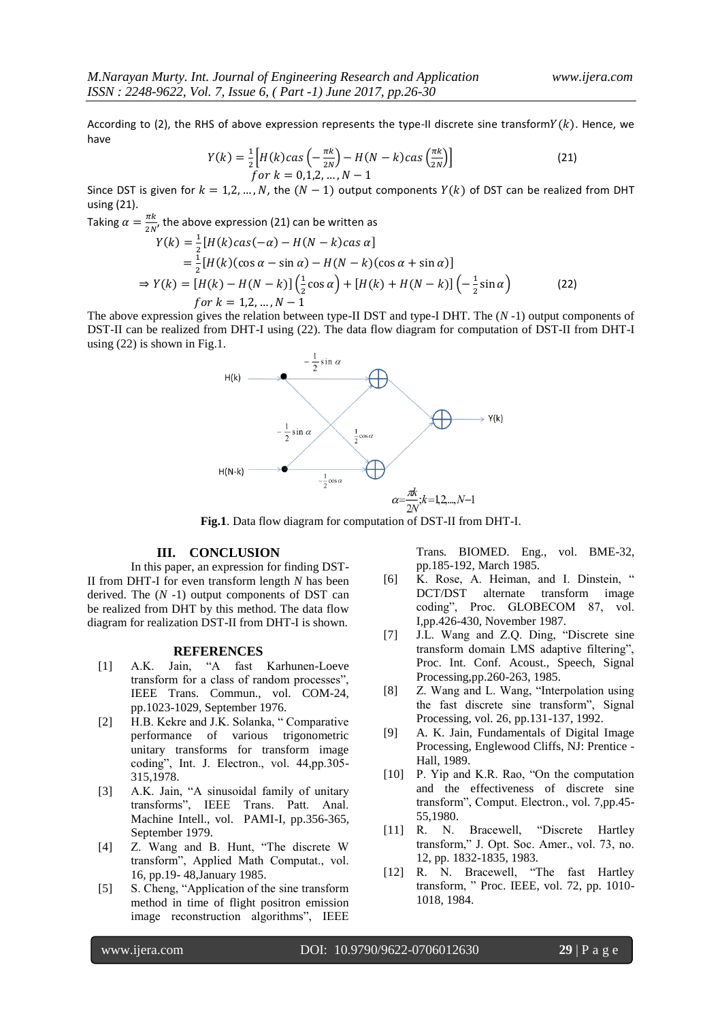According to (2), the RHS of above expression represents the type-II discrete sine transform  $Y(k)$ . Hence, we have

$$
Y(k) = \frac{1}{2} \Big[ H(k) \cos \left( -\frac{\pi k}{2N} \right) - H(N - k) \cos \left( \frac{\pi k}{2N} \right) \Big] \tag{21}
$$
  
for  $k = 0, 1, 2, ..., N - 1$ 

Since DST is given for  $k = 1, 2, ..., N$ , the  $(N - 1)$  output components  $Y(k)$  of DST can be realized from DHT using (21).  $\pi$ 

Taking 
$$
\alpha = \frac{\pi k}{2N}
$$
, the above expression (21) can be written as  
\n
$$
Y(k) = \frac{1}{2} [H(k) \cos(-\alpha) - H(N - k) \cos \alpha]
$$
\n
$$
= \frac{1}{2} [H(k) (\cos \alpha - \sin \alpha) - H(N - k) (\cos \alpha + \sin \alpha)]
$$
\n
$$
\Rightarrow Y(k) = [H(k) - H(N - k)] (\frac{1}{2} \cos \alpha) + [H(k) + H(N - k)] (-\frac{1}{2} \sin \alpha)
$$
\n(22)

The above expression gives the relation between type-II DST and type-I DHT. The (*N* -1) output components of DST-II can be realized from DHT-I using (22). The data flow diagram for computation of DST-II from DHT-I using (22) is shown in Fig.1.



**Fig.1**. Data flow diagram for computation of DST-II from DHT-I.

## **III. CONCLUSION**

In this paper, an expression for finding DST-II from DHT-I for even transform length *N* has been derived. The (*N* -1) output components of DST can be realized from DHT by this method. The data flow diagram for realization DST-II from DHT-I is shown.

#### **REFERENCES**

- [1] A.K. Jain, "A fast Karhunen-Loeve transform for a class of random processes", IEEE Trans. Commun., vol. COM-24, pp.1023-1029, September 1976.
- [2] H.B. Kekre and J.K. Solanka, " Comparative performance of various trigonometric unitary transforms for transform image coding", Int. J. Electron., vol. 44,pp.305- 315,1978.
- [3] A.K. Jain, "A sinusoidal family of unitary transforms", IEEE Trans. Patt. Anal. Machine Intell., vol. PAMI-I, pp.356-365, September 1979.
- [4] Z. Wang and B. Hunt, "The discrete W transform", Applied Math Computat., vol. 16, pp.19- 48,January 1985.
- [5] S. Cheng, "Application of the sine transform method in time of flight positron emission image reconstruction algorithms", IEEE

Trans*.* BIOMED. Eng., vol. BME-32, pp.185-192, March 1985.

- [6] K. Rose, A. Heiman, and I. Dinstein, " DCT/DST alternate transform image coding", Proc. GLOBECOM 87, vol. I,pp.426-430, November 1987.
- [7] J.L. Wang and Z.Q. Ding, "Discrete sine transform domain LMS adaptive filtering", Proc. Int. Conf. Acoust., Speech, Signal Processing,pp.260-263, 1985.
- [8] Z. Wang and L. Wang, "Interpolation using the fast discrete sine transform", Signal Processing, vol. 26, pp.131-137, 1992.
- [9] A. K. Jain, Fundamentals of Digital Image Processing, Englewood Cliffs, NJ: Prentice - Hall, 1989.
- [10] P. Yip and K.R. Rao, "On the computation and the effectiveness of discrete sine transform", Comput. Electron*.*, vol. 7,pp.45- 55,1980.
- [11] R. N. Bracewell, "Discrete Hartley transform," J. Opt. Soc. Amer., vol. 73, no. 12, pp. 1832-1835, 1983.
- [12] R. N. Bracewell, "The fast Hartley transform, " Proc. IEEE, vol. 72, pp. 1010- 1018, 1984.